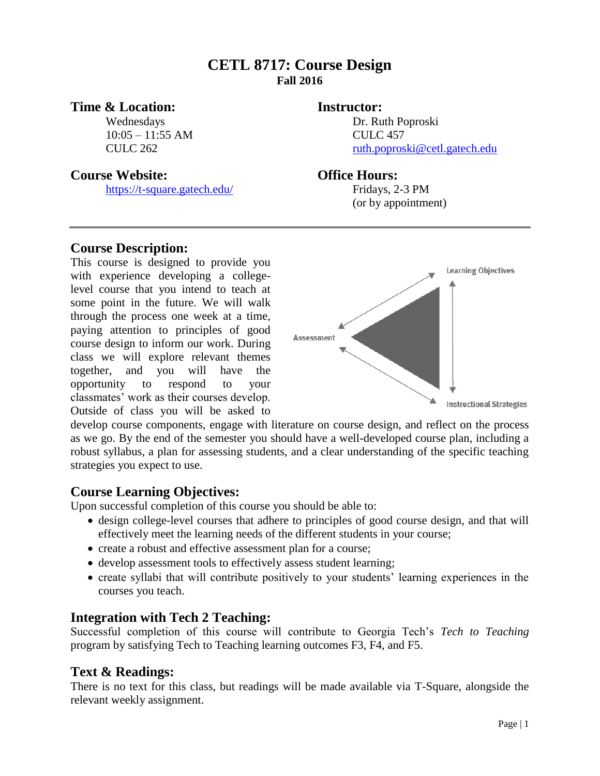# **CETL 8717: Course Design Fall 2016**

## **Time & Location: Instructor:**

10:05 – 11:55 AM CULC 457

## **Course Website: Office Hours:**

<https://t-square.gatech.edu/> Fridays, 2-3 PM

Wednesdays Dr. Ruth Poproski CULC 262 [ruth.poproski@cetl.gatech.edu](mailto:ruth.poproski@cetl.gatech.edu)

(or by appointment)

## **Course Description:**

This course is designed to provide you with experience developing a collegelevel course that you intend to teach at some point in the future. We will walk through the process one week at a time, paying attention to principles of good course design to inform our work. During class we will explore relevant themes together, and you will have the opportunity to respond to your classmates' work as their courses develop. Outside of class you will be asked to



develop course components, engage with literature on course design, and reflect on the process as we go. By the end of the semester you should have a well-developed course plan, including a robust syllabus, a plan for assessing students, and a clear understanding of the specific teaching strategies you expect to use.

# **Course Learning Objectives:**

Upon successful completion of this course you should be able to:

- design college-level courses that adhere to principles of good course design, and that will effectively meet the learning needs of the different students in your course;
- create a robust and effective assessment plan for a course;
- develop assessment tools to effectively assess student learning;
- create syllabi that will contribute positively to your students' learning experiences in the courses you teach.

## **Integration with Tech 2 Teaching:**

Successful completion of this course will contribute to Georgia Tech's *Tech to Teaching*  program by satisfying Tech to Teaching learning outcomes F3, F4, and F5.

## **Text & Readings:**

There is no text for this class, but readings will be made available via T-Square, alongside the relevant weekly assignment.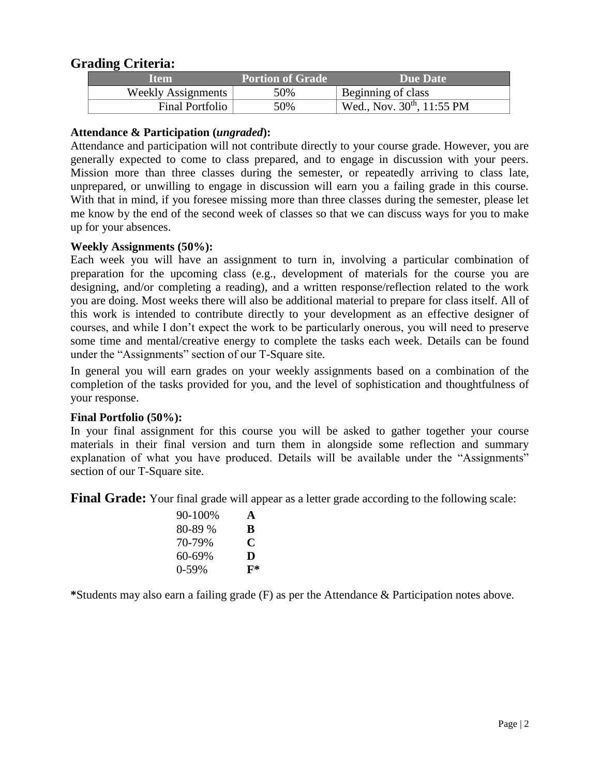# **Grading Criteria:**

| ltem.                     | <b>Portion of Grade</b> | Due Date                               |
|---------------------------|-------------------------|----------------------------------------|
| <b>Weekly Assignments</b> | 50%                     | Beginning of class                     |
| Final Portfolio           | 50%                     | Wed., Nov. 30 <sup>th</sup> , 11:55 PM |

## **Attendance & Participation (***ungraded***):**

Attendance and participation will not contribute directly to your course grade. However, you are generally expected to come to class prepared, and to engage in discussion with your peers. Mission more than three classes during the semester, or repeatedly arriving to class late, unprepared, or unwilling to engage in discussion will earn you a failing grade in this course. With that in mind, if you foresee missing more than three classes during the semester, please let me know by the end of the second week of classes so that we can discuss ways for you to make up for your absences.

## **Weekly Assignments (50%):**

Each week you will have an assignment to turn in, involving a particular combination of preparation for the upcoming class (e.g., development of materials for the course you are designing, and/or completing a reading), and a written response/reflection related to the work you are doing. Most weeks there will also be additional material to prepare for class itself. All of this work is intended to contribute directly to your development as an effective designer of courses, and while I don't expect the work to be particularly onerous, you will need to preserve some time and mental/creative energy to complete the tasks each week. Details can be found under the "Assignments" section of our T-Square site.

In general you will earn grades on your weekly assignments based on a combination of the completion of the tasks provided for you, and the level of sophistication and thoughtfulness of your response.

#### **Final Portfolio (50%):**

In your final assignment for this course you will be asked to gather together your course materials in their final version and turn them in alongside some reflection and summary explanation of what you have produced. Details will be available under the "Assignments" section of our T-Square site.

**Final Grade:** Your final grade will appear as a letter grade according to the following scale:

| 90-100% | A     |
|---------|-------|
| 80-89 % | B     |
| 70-79%  | C     |
| 60-69%  | D     |
| $0-59%$ | $F^*$ |

**\***Students may also earn a failing grade (F) as per the Attendance & Participation notes above.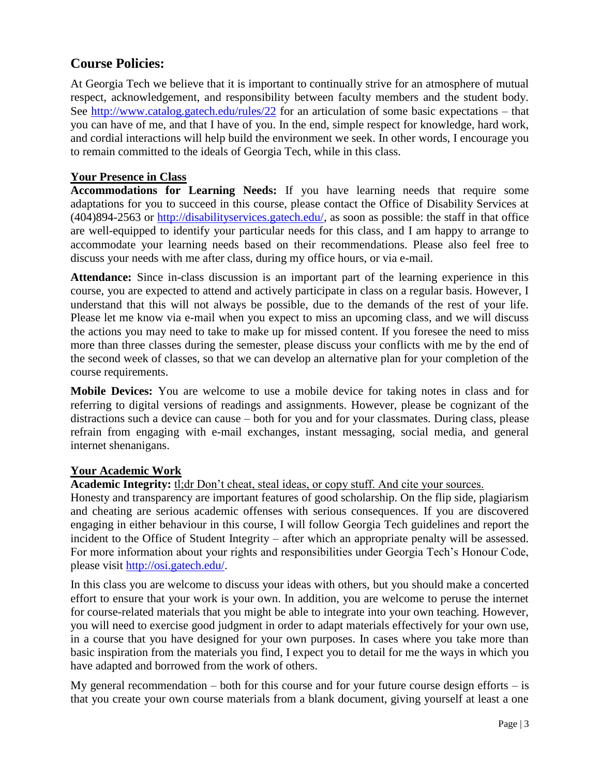# **Course Policies:**

At Georgia Tech we believe that it is important to continually strive for an atmosphere of mutual respect, acknowledgement, and responsibility between faculty members and the student body. See<http://www.catalog.gatech.edu/rules/22> for an articulation of some basic expectations – that you can have of me, and that I have of you. In the end, simple respect for knowledge, hard work, and cordial interactions will help build the environment we seek. In other words, I encourage you to remain committed to the ideals of Georgia Tech, while in this class.

## **Your Presence in Class**

**Accommodations for Learning Needs:** If you have learning needs that require some adaptations for you to succeed in this course, please contact the Office of Disability Services at (404)894-2563 or [http://disabilityservices.gatech.edu/,](http://disabilityservices.gatech.edu/) as soon as possible: the staff in that office are well-equipped to identify your particular needs for this class, and I am happy to arrange to accommodate your learning needs based on their recommendations. Please also feel free to discuss your needs with me after class, during my office hours, or via e-mail.

**Attendance:** Since in-class discussion is an important part of the learning experience in this course, you are expected to attend and actively participate in class on a regular basis. However, I understand that this will not always be possible, due to the demands of the rest of your life. Please let me know via e-mail when you expect to miss an upcoming class, and we will discuss the actions you may need to take to make up for missed content. If you foresee the need to miss more than three classes during the semester, please discuss your conflicts with me by the end of the second week of classes, so that we can develop an alternative plan for your completion of the course requirements.

**Mobile Devices:** You are welcome to use a mobile device for taking notes in class and for referring to digital versions of readings and assignments. However, please be cognizant of the distractions such a device can cause – both for you and for your classmates. During class, please refrain from engaging with e-mail exchanges, instant messaging, social media, and general internet shenanigans.

#### **Your Academic Work**

**Academic Integrity:** tl;dr Don't cheat, steal ideas, or copy stuff. And cite your sources.

Honesty and transparency are important features of good scholarship. On the flip side, plagiarism and cheating are serious academic offenses with serious consequences. If you are discovered engaging in either behaviour in this course, I will follow Georgia Tech guidelines and report the incident to the Office of Student Integrity – after which an appropriate penalty will be assessed. For more information about your rights and responsibilities under Georgia Tech's Honour Code, please visit [http://osi.gatech.edu/.](http://osi.gatech.edu/)

In this class you are welcome to discuss your ideas with others, but you should make a concerted effort to ensure that your work is your own. In addition, you are welcome to peruse the internet for course-related materials that you might be able to integrate into your own teaching. However, you will need to exercise good judgment in order to adapt materials effectively for your own use, in a course that you have designed for your own purposes. In cases where you take more than basic inspiration from the materials you find, I expect you to detail for me the ways in which you have adapted and borrowed from the work of others.

My general recommendation  $-$  both for this course and for your future course design efforts  $-$  is that you create your own course materials from a blank document, giving yourself at least a one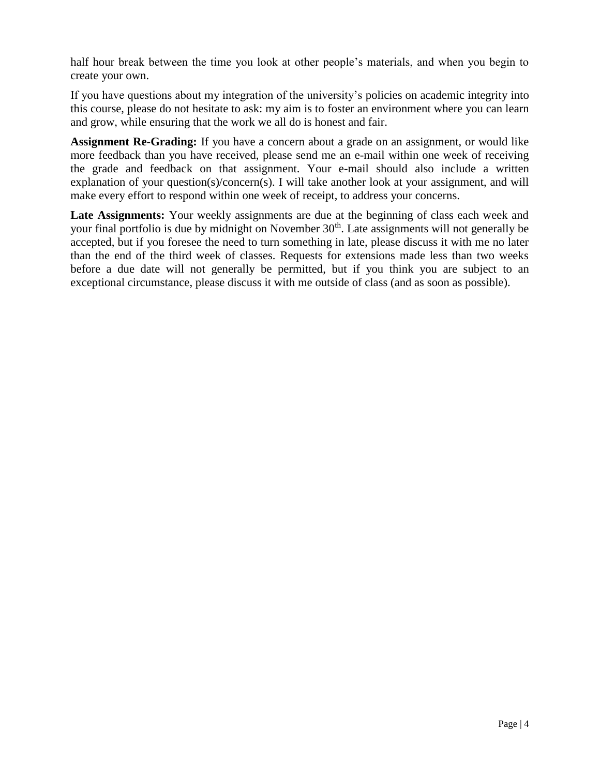half hour break between the time you look at other people's materials, and when you begin to create your own.

If you have questions about my integration of the university's policies on academic integrity into this course, please do not hesitate to ask: my aim is to foster an environment where you can learn and grow, while ensuring that the work we all do is honest and fair.

**Assignment Re-Grading:** If you have a concern about a grade on an assignment, or would like more feedback than you have received, please send me an e-mail within one week of receiving the grade and feedback on that assignment. Your e-mail should also include a written explanation of your question(s)/concern(s). I will take another look at your assignment, and will make every effort to respond within one week of receipt, to address your concerns.

Late Assignments: Your weekly assignments are due at the beginning of class each week and your final portfolio is due by midnight on November 30<sup>th</sup>. Late assignments will not generally be accepted, but if you foresee the need to turn something in late, please discuss it with me no later than the end of the third week of classes. Requests for extensions made less than two weeks before a due date will not generally be permitted, but if you think you are subject to an exceptional circumstance, please discuss it with me outside of class (and as soon as possible).